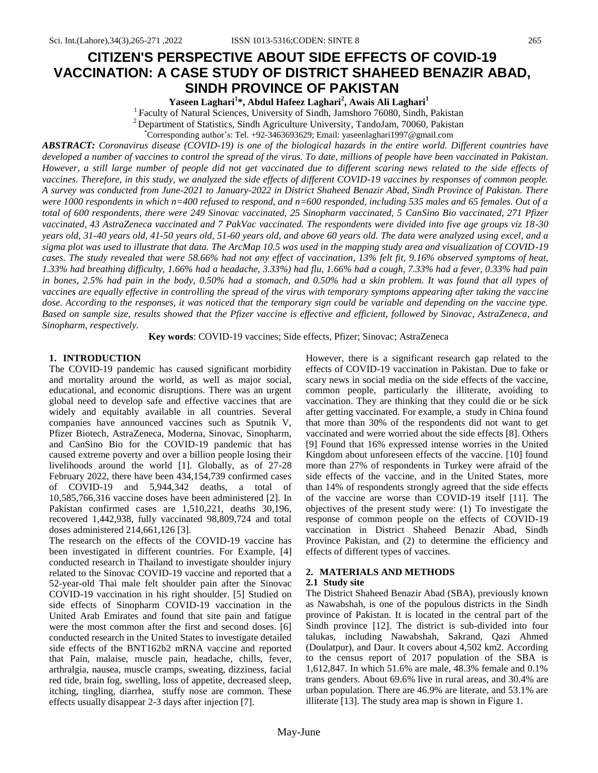# **CITIZEN'S PERSPECTIVE ABOUT SIDE EFFECTS OF COVID-19 VACCINATION: A CASE STUDY OF DISTRICT SHAHEED BENAZIR ABAD, SINDH PROVINCE OF PAKISTAN**

**Yaseen Laghari<sup>1</sup> \*, Abdul Hafeez Laghari<sup>2</sup> , Awais Ali Laghari<sup>1</sup>**

<sup>1</sup> Faculty of Natural Sciences, University of Sindh, Jamshoro 76080, Sindh, Pakistan

 $2$  Department of Statistics, Sindh Agriculture University, TandoJam, 70060, Pakistan

\*Corresponding author's: Tel. +92-3463693629; Email[: yaseenlaghari1997@gmail.com](mailto:yaseenlaghari1997@gmail.com)

*ABSTRACT: Coronavirus disease (COVID-19) is one of the biological hazards in the entire world. Different countries have developed a number of vaccines to control the spread of the virus. To date, millions of people have been vaccinated in Pakistan. However, a still large number of people did not get vaccinated due to different scaring news related to the side effects of vaccines. Therefore, in this study, we analyzed the side effects of different COVID-19 vaccines by responses of common people. A survey was conducted from June-2021 to January-2022 in District Shaheed Benazir Abad, Sindh Province of Pakistan. There were 1000 respondents in which n=400 refused to respond, and n=600 responded, including 535 males and 65 females. Out of a total of 600 respondents, there were 249 Sinovac vaccinated, 25 Sinopharm vaccinated, 5 CanSino Bio vaccinated, 271 Pfizer vaccinated, 43 AstraZeneca vaccinated and 7 PakVac vaccinated. The respondents were divided into five age groups viz 18-30 years old, 31-40 years old, 41-50 years old, 51-60 years old, and above 60 years old. The data were analyzed using excel, and a sigma plot was used to illustrate that data. The ArcMap 10.5 was used in the mapping study area and visualization of COVID-19 cases. The study revealed that were 58.66% had not any effect of vaccination, 13% felt fit, 9.16% observed symptoms of heat, 1.33% had breathing difficulty, 1.66% had a headache, 3.33%) had flu, 1.66% had a cough, 7.33% had a fever, 0.33% had pain in bones, 2.5% had pain in the body, 0.50% had a stomach, and 0.50% had a skin problem. It was found that all types of vaccines are equally effective in controlling the spread of the virus with temporary symptoms appearing after taking the vaccine dose. According to the responses, it was noticed that the temporary sign could be variable and depending on the vaccine type. Based on sample size, results showed that the Pfizer vaccine is effective and efficient, followed by Sinovac, AstraZeneca, and Sinopharm, respectively.*

**Key words**: COVID-19 vaccines; Side effects, Pfizer; Sinovac; AstraZeneca

## **1. INTRODUCTION**

The COVID-19 pandemic has caused significant morbidity and mortality around the world, as well as major social, educational, and economic disruptions. There was an urgent global need to develop safe and effective vaccines that are widely and equitably available in all countries. Several companies have announced vaccines such as Sputnik V, Pfizer Biotech, AstraZeneca, Moderna, Sinovac, Sinopharm, and CanSino Bio for the COVID-19 pandemic that has caused extreme poverty and over a billion people losing their livelihoods around the world [1]. Globally, as of 27-28 February 2022, there have been 434,154,739 confirmed cases of COVID-19 and 5,944,342 deaths, a total of 10,585,766,316 vaccine doses have been administered [2]. In Pakistan confirmed cases are 1,510,221, deaths 30,196, recovered 1,442,938, fully vaccinated 98,809,724 and total doses administered 214,661,126 [3].

The research on the effects of the COVID-19 vaccine has been investigated in different countries. For Example, [4] conducted research in Thailand to investigate shoulder injury related to the Sinovac COVID-19 vaccine and reported that a 52-year-old Thai male felt shoulder pain after the Sinovac COVID-19 vaccination in his right shoulder. [5] Studied on side effects of Sinopharm COVID-19 vaccination in the United Arab Emirates and found that site pain and fatigue were the most common after the first and second doses. [6] conducted research in the United States to investigate detailed side effects of the BNT162b2 mRNA vaccine and reported that Pain, malaise, muscle pain, headache, chills, fever, arthralgia, nausea, muscle cramps, sweating, dizziness, facial red tide, brain fog, swelling, loss of appetite, decreased sleep, itching, tingling, diarrhea, stuffy nose are common. These effects usually disappear 2-3 days after injection [7].

However, there is a significant research gap related to the effects of COVID-19 vaccination in Pakistan. Due to fake or scary news in social media on the side effects of the vaccine, common people, particularly the illiterate, avoiding to vaccination. They are thinking that they could die or be sick after getting vaccinated. For example, a study in China found that more than 30% of the respondents did not want to get vaccinated and were worried about the side effects [8]. Others [9] Found that 16% expressed intense worries in the United Kingdom about unforeseen effects of the vaccine. [10] found more than 27% of respondents in Turkey were afraid of the side effects of the vaccine, and in the United States, more than 14% of respondents strongly agreed that the side effects of the vaccine are worse than COVID-19 itself [11]. The objectives of the present study were: (1) To investigate the response of common people on the effects of COVID-19 vaccination in District Shaheed Benazir Abad, Sindh Province Pakistan, and (2) to determine the efficiency and effects of different types of vaccines.

#### **2. MATERIALS AND METHODS**

#### **2.1 Study site**

The District Shaheed Benazir Abad (SBA), previously known as Nawabshah, is one of the populous districts in the Sindh province of Pakistan. It is located in the central part of the Sindh province [12]. The district is sub-divided into four talukas, including Nawabshah, Sakrand, Qazi Ahmed (Doulatpur), and Daur. It covers about 4,502 km2. According to the census report of 2017 population of the SBA is 1,612,847. In which 51.6% are male, 48.3% female and 0.1% trans genders. About 69.6% live in rural areas, and 30.4% are urban population. There are 46.9% are literate, and 53.1% are illiterate [13]. The study area map is shown in Figure 1.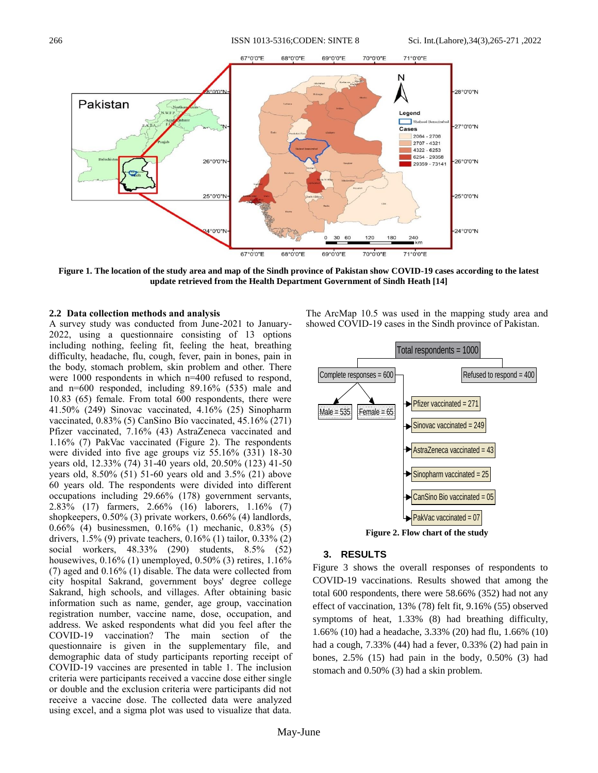266 ISSN 1013-5316;CODEN: SINTE 8 Sci. Int.(Lahore),34(3),265-271 ,2022



**Figure 1. The location of the study area and map of the Sindh province of Pakistan show COVID-19 cases according to the latest update retrieved from the Health Department Government of Sindh Heath [14] 70**

#### **2.2 Data collection methods and analysis**

A survey study was conducted from June-2021 to January-2022, using a questionnaire consisting of 13 options including nothing, feeling fit, feeling the heat, breathing difficulty, headache, flu, cough, fever, pain in bones, pain in the body, stomach problem, skin problem and other. There were 1000 respondents in which n=400 refused to respond, and n=600 responded, including 89.16% (535) male and 10.83 (65) female. From total 600 respondents, there were 41.50% (249) Sinovac vaccinated, 4.16% (25) Sinopharm vaccinated, 0.83% (5) CanSino Bío vaccinated, 45.16% (271) Pfizer vaccinated, 7.16% (43) AstraZeneca vaccinated and 1.16% (7) PakVac vaccinated (Figure 2). The respondents were divided into five age groups viz 55.16% (331) 18-30 years old, 12.33% (74) 31-40 years old, 20.50% (123) 41-50 years old, 8.50% (51) 51-60 years old and 3.5% (21) above 60 years old. The respondents were divided into different occupations including 29.66% (178) government servants, 2.83% (17) farmers, 2.66% (16) laborers, 1.16% (7) shopkeepers, 0.50% (3) private workers, 0.66% (4) landlords, 0.66% (4) businessmen, 0.16% (1) mechanic, 0.83% (5) drivers, 1.5% (9) private teachers, 0.16% (1) tailor, 0.33% (2) social workers, 48.33% (290) students, 8.5% (52) housewives, 0.16% (1) unemployed, 0.50% (3) retires, 1.16% (7) aged and 0.16% (1) disable. The data were collected from city hospital Sakrand, government boys' degree college Sakrand, high schools, and villages. After obtaining basic information such as name, gender, age group, vaccination registration number, vaccine name, dose, occupation, and address. We asked respondents what did you feel after the COVID-19 vaccination? The main section of the questionnaire is given in the supplementary file, and demographic data of study participants reporting receipt of COVID-19 vaccines are presented in table 1. The inclusion criteria were participants received a vaccine dose either single or double and the exclusion criteria were participants did not receive a vaccine dose. The collected data were analyzed using excel, and a sigma plot was used to visualize that data.

The ArcMap 10.5 was used in the mapping study area and **60** showed COVID-19 cases in the Sindh province of Pakistan.



#### **3. RESULTS**

Figure 3 shows the overall responses of respondents to COVID-19 vaccinations. Results showed that among the total 600 respondents, there were 58.66% (352) had not any effect of vaccination, 13% (78) felt fit, 9.16% (55) observed symptoms of heat, 1.33% (8) had breathing difficulty, 1.66% (10) had a headache, 3.33% (20) had flu, 1.66% (10) had a cough, 7.33% (44) had a fever, 0.33% (2) had pain in bones, 2.5% (15) had pain in the body, 0.50% (3) had stomach and 0.50% (3) had a skin problem.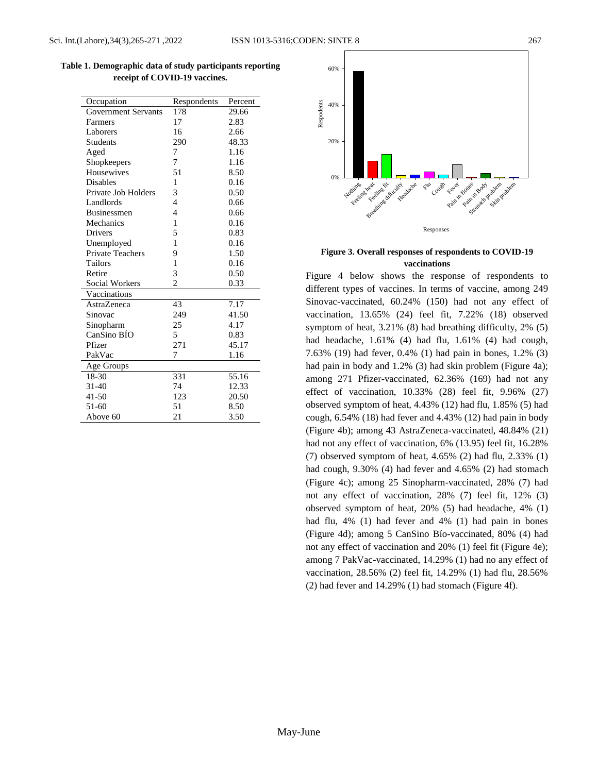| Table 1. Demographic data of study participants reporting |  |
|-----------------------------------------------------------|--|
| receipt of COVID-19 vaccines.                             |  |

| Occupation                 | Respondents    | Percent |
|----------------------------|----------------|---------|
| <b>Government Servants</b> | 178            | 29.66   |
| Farmers                    | 17             | 2.83    |
| Laborers                   | 16             | 2.66    |
| <b>Students</b>            | 290            | 48.33   |
| Aged                       | 7              | 1.16    |
| Shopkeepers                | 7              | 1.16    |
| <b>Housewives</b>          | 51             | 8.50    |
| <b>Disables</b>            | 1              | 0.16    |
| Private Job Holders        | 3              | 0.50    |
| Landlords                  | $\overline{4}$ | 0.66    |
| <b>Businessmen</b>         | 4              | 0.66    |
| Mechanics                  | 1              | 0.16    |
| <b>Drivers</b>             | 5              | 0.83    |
| Unemployed                 | 1              | 0.16    |
| <b>Private Teachers</b>    | 9              | 1.50    |
| Tailors                    | 1              | 0.16    |
| Retire                     | 3              | 0.50    |
| Social Workers             | $\overline{c}$ | 0.33    |
| Vaccinations               |                |         |
| AstraZeneca                | 43             | 7.17    |
| Sinovac                    | 249            | 41.50   |
| Sinopharm                  | 25             | 4.17    |
| CanSino BÍO                | 5              | 0.83    |
| Pfizer                     | 271            | 45.17   |
| PakVac                     | 7              | 1.16    |
| Age Groups                 |                |         |
| 18-30                      | 331            | 55.16   |
| 31-40                      | 74             | 12.33   |
| $41 - 50$                  | 123            | 20.50   |
| 51-60                      | 51             | 8.50    |
| Above 60                   | 21             | 3.50    |



**Figure 3. Overall responses of respondents to COVID-19 vaccinations**

Figure 4 below shows the response of respondents to different types of vaccines. In terms of vaccine, among 249 Sinovac-vaccinated, 60.24% (150) had not any effect of vaccination, 13.65% (24) feel fit, 7.22% (18) observed symptom of heat, 3.21% (8) had breathing difficulty, 2% (5) had headache, 1.61% (4) had flu, 1.61% (4) had cough, 7.63% (19) had fever, 0.4% (1) had pain in bones, 1.2% (3) had pain in body and 1.2% (3) had skin problem (Figure 4a); among 271 Pfizer-vaccinated, 62.36% (169) had not any effect of vaccination, 10.33% (28) feel fit, 9.96% (27) observed symptom of heat, 4.43% (12) had flu, 1.85% (5) had cough, 6.54% (18) had fever and 4.43% (12) had pain in body (Figure 4b); among 43 AstraZeneca-vaccinated, 48.84% (21) had not any effect of vaccination, 6% (13.95) feel fit, 16.28% (7) observed symptom of heat, 4.65% (2) had flu, 2.33% (1) had cough, 9.30% (4) had fever and 4.65% (2) had stomach (Figure 4c); among 25 Sinopharm-vaccinated, 28% (7) had not any effect of vaccination, 28% (7) feel fit, 12% (3) observed symptom of heat, 20% (5) had headache, 4% (1) had flu, 4% (1) had fever and 4% (1) had pain in bones (Figure 4d); among 5 CanSino Bío-vaccinated, 80% (4) had not any effect of vaccination and 20% (1) feel fit (Figure 4e); among 7 PakVac-vaccinated, 14.29% (1) had no any effect of vaccination, 28.56% (2) feel fit, 14.29% (1) had flu, 28.56% (2) had fever and 14.29% (1) had stomach (Figure 4f).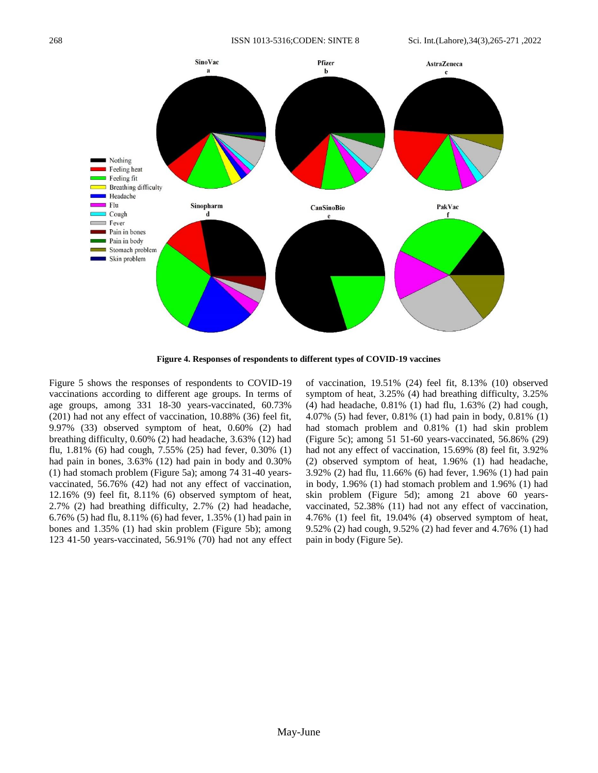

**Figure 4. Responses of respondents to different types of COVID-19 vaccines**

Figure 5 shows the responses of respondents to COVID-19 vaccinations according to different age groups. In terms of age groups, among 331 18-30 years-vaccinated, 60.73% (201) had not any effect of vaccination, 10.88% (36) feel fit, 9.97% (33) observed symptom of heat, 0.60% (2) had breathing difficulty, 0.60% (2) had headache, 3.63% (12) had flu, 1.81% (6) had cough, 7.55% (25) had fever, 0.30% (1) had pain in bones, 3.63% (12) had pain in body and 0.30% (1) had stomach problem (Figure 5a); among 74 31-40 yearsvaccinated, 56.76% (42) had not any effect of vaccination, 12.16% (9) feel fit, 8.11% (6) observed symptom of heat, 2.7% (2) had breathing difficulty, 2.7% (2) had headache, 6.76% (5) had flu, 8.11% (6) had fever, 1.35% (1) had pain in bones and 1.35% (1) had skin problem (Figure 5b); among 123 41-50 years-vaccinated, 56.91% (70) had not any effect of vaccination, 19.51% (24) feel fit, 8.13% (10) observed symptom of heat, 3.25% (4) had breathing difficulty, 3.25% (4) had headache, 0.81% (1) had flu, 1.63% (2) had cough, 4.07% (5) had fever, 0.81% (1) had pain in body, 0.81% (1) had stomach problem and 0.81% (1) had skin problem (Figure 5c); among 51 51-60 years-vaccinated, 56.86% (29) had not any effect of vaccination, 15.69% (8) feel fit, 3.92% (2) observed symptom of heat, 1.96% (1) had headache, 3.92% (2) had flu, 11.66% (6) had fever, 1.96% (1) had pain in body, 1.96% (1) had stomach problem and 1.96% (1) had skin problem (Figure 5d); among 21 above 60 yearsvaccinated, 52.38% (11) had not any effect of vaccination, 4.76% (1) feel fit, 19.04% (4) observed symptom of heat, 9.52% (2) had cough, 9.52% (2) had fever and 4.76% (1) had pain in body (Figure 5e).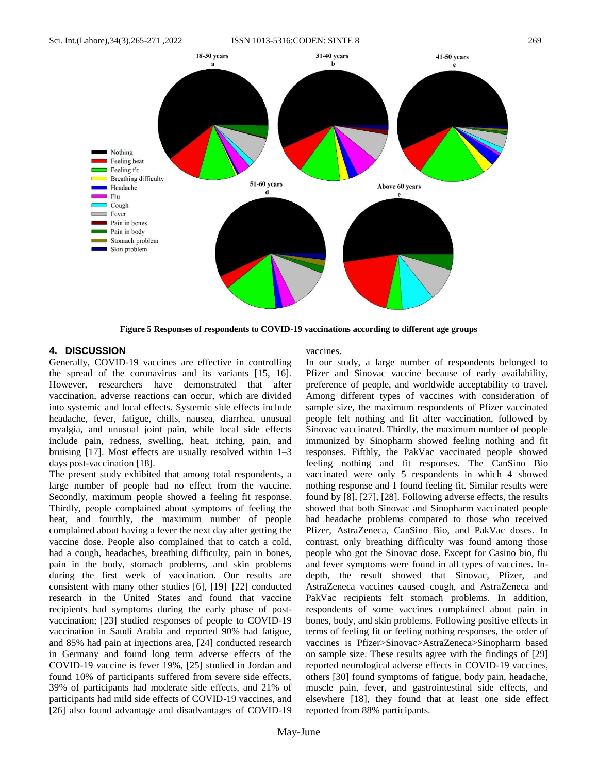

**Figure 5 Responses of respondents to COVID-19 vaccinations according to different age groups**

### **4. DISCUSSION**

Generally, COVID-19 vaccines are effective in controlling the spread of the coronavirus and its variants [15, 16]. However, researchers have demonstrated that after vaccination, adverse reactions can occur, which are divided into systemic and local effects. Systemic side effects include headache, fever, fatigue, chills, nausea, diarrhea, unusual myalgia, and unusual joint pain, while local side effects include pain, redness, swelling, heat, itching, pain, and bruising [17]. Most effects are usually resolved within 1–3 days post-vaccination [18].

The present study exhibited that among total respondents, a large number of people had no effect from the vaccine. Secondly, maximum people showed a feeling fit response. Thirdly, people complained about symptoms of feeling the heat, and fourthly, the maximum number of people complained about having a fever the next day after getting the vaccine dose. People also complained that to catch a cold, had a cough, headaches, breathing difficulty, pain in bones, pain in the body, stomach problems, and skin problems during the first week of vaccination. Our results are consistent with many other studies [6], [19]–[22] conducted research in the United States and found that vaccine recipients had symptoms during the early phase of postvaccination; [23] studied responses of people to COVID-19 vaccination in Saudi Arabia and reported 90% had fatigue, and 85% had pain at injections area, [24] conducted research in Germany and found long term adverse effects of the COVID-19 vaccine is fever 19%, [25] studied in Jordan and found 10% of participants suffered from severe side effects, 39% of participants had moderate side effects, and 21% of participants had mild side effects of COVID-19 vaccines, and [26] also found advantage and disadvantages of COVID-19

vaccines.

In our study, a large number of respondents belonged to Pfizer and Sinovac vaccine because of early availability, preference of people, and worldwide acceptability to travel. Among different types of vaccines with consideration of sample size, the maximum respondents of Pfizer vaccinated people felt nothing and fit after vaccination, followed by Sinovac vaccinated. Thirdly, the maximum number of people immunized by Sinopharm showed feeling nothing and fit responses. Fifthly, the PakVac vaccinated people showed feeling nothing and fit responses. The CanSino Bio vaccinated were only 5 respondents in which 4 showed nothing response and 1 found feeling fit. Similar results were found by [8], [27], [28]. Following adverse effects, the results showed that both Sinovac and Sinopharm vaccinated people had headache problems compared to those who received Pfizer, AstraZeneca, CanSino Bio, and PakVac doses. In contrast, only breathing difficulty was found among those people who got the Sinovac dose. Except for Casino bio, flu and fever symptoms were found in all types of vaccines. Indepth, the result showed that Sinovac, Pfizer, and AstraZeneca vaccines caused cough, and AstraZeneca and PakVac recipients felt stomach problems. In addition, respondents of some vaccines complained about pain in bones, body, and skin problems. Following positive effects in terms of feeling fit or feeling nothing responses, the order of vaccines is Pfizer>Sinovac>AstraZeneca>Sinopharm based on sample size. These results agree with the findings of [29] reported neurological adverse effects in COVID-19 vaccines, others [30] found symptoms of fatigue, body pain, headache, muscle pain, fever, and gastrointestinal side effects, and elsewhere [18], they found that at least one side effect reported from 88% participants.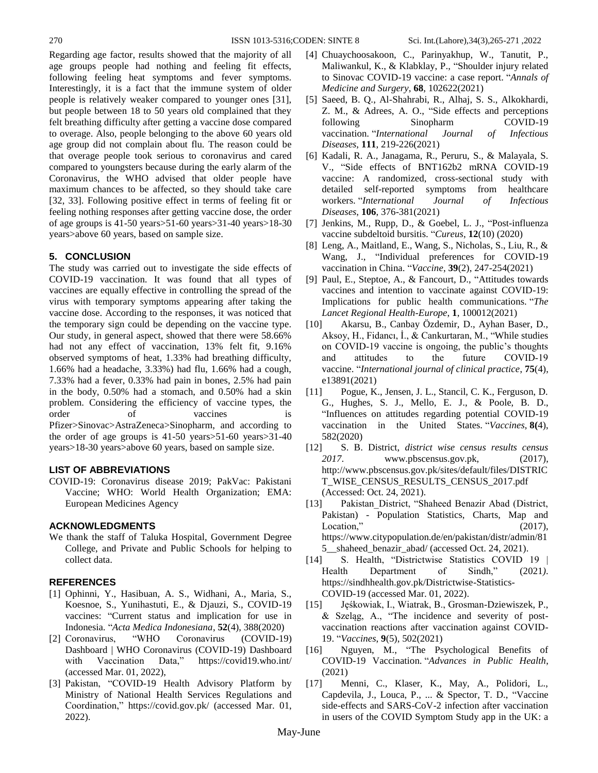Regarding age factor, results showed that the majority of all age groups people had nothing and feeling fit effects, following feeling heat symptoms and fever symptoms. Interestingly, it is a fact that the immune system of older people is relatively weaker compared to younger ones [31], but people between 18 to 50 years old complained that they felt breathing difficulty after getting a vaccine dose compared to overage. Also, people belonging to the above 60 years old age group did not complain about flu. The reason could be that overage people took serious to coronavirus and cared compared to youngsters because during the early alarm of the Coronavirus, the WHO advised that older people have maximum chances to be affected, so they should take care [32, 33]. Following positive effect in terms of feeling fit or feeling nothing responses after getting vaccine dose, the order of age groups is 41-50 years>51-60 years>31-40 years>18-30 years>above 60 years, based on sample size.

# **5. CONCLUSION**

The study was carried out to investigate the side effects of COVID-19 vaccination. It was found that all types of vaccines are equally effective in controlling the spread of the virus with temporary symptoms appearing after taking the vaccine dose. According to the responses, it was noticed that the temporary sign could be depending on the vaccine type. Our study, in general aspect, showed that there were 58.66% had not any effect of vaccination, 13% felt fit, 9.16% observed symptoms of heat, 1.33% had breathing difficulty, 1.66% had a headache, 3.33%) had flu, 1.66% had a cough, 7.33% had a fever, 0.33% had pain in bones, 2.5% had pain in the body, 0.50% had a stomach, and 0.50% had a skin problem. Considering the efficiency of vaccine types, the order of vaccines is Pfizer>Sinovac>AstraZeneca>Sinopharm, and according to the order of age groups is 41-50 years>51-60 years>31-40 years>18-30 years>above 60 years, based on sample size.

## **LIST OF ABBREVIATIONS**

COVID-19: Coronavirus disease 2019; PakVac: Pakistani Vaccine; WHO: World Health Organization; EMA: European Medicines Agency

# **ACKNOWLEDGMENTS**

We thank the staff of Taluka Hospital, Government Degree College, and Private and Public Schools for helping to collect data.

# **REFERENCES**

- [1] Ophinni, Y., Hasibuan, A. S., Widhani, A., Maria, S., Koesnoe, S., Yunihastuti, E., & Djauzi, S., COVID-19 vaccines: "Current status and implication for use in Indonesia. "*Acta Medica Indonesiana*, **52**(4), 388(2020)
- [2] Coronavirus, "WHO Coronavirus (COVID-19) Dashboard | WHO Coronavirus (COVID-19) Dashboard with Vaccination Data," https://covid19.who.int/ (accessed Mar. 01, 2022),
- [3] Pakistan, "COVID-19 Health Advisory Platform by Ministry of National Health Services Regulations and Coordination," https://covid.gov.pk/ (accessed Mar. 01, 2022).
- [4] Chuaychoosakoon, C., Parinyakhup, W., Tanutit, P., Maliwankul, K., & Klabklay, P., "Shoulder injury related to Sinovac COVID-19 vaccine: a case report. "*Annals of Medicine and Surgery*, **68**, 102622(2021)
- [5] Saeed, B. Q., Al-Shahrabi, R., Alhaj, S. S., Alkokhardi, Z. M., & Adrees, A. O., "Side effects and perceptions following Sinopharm COVID-19 vaccination. "*International Journal of Infectious Diseases*, **111**, 219-226(2021)
- [6] Kadali, R. A., Janagama, R., Peruru, S., & Malayala, S. V., "Side effects of BNT162b2 mRNA COVID-19 vaccine: A randomized, cross-sectional study with detailed self-reported symptoms from healthcare workers. "*International Journal of Infectious Diseases*, **106**, 376-381(2021)
- [7] Jenkins, M., Rupp, D., & Goebel, L. J., "Post-influenza vaccine subdeltoid bursitis. "*Cureus*, **12**(10) (2020)
- [8] Leng, A., Maitland, E., Wang, S., Nicholas, S., Liu, R., & Wang, J., "Individual preferences for COVID-19 vaccination in China. "*Vaccine*, **39**(2), 247-254(2021)
- [9] Paul, E., Steptoe, A., & Fancourt, D., "Attitudes towards vaccines and intention to vaccinate against COVID-19: Implications for public health communications. "*The Lancet Regional Health-Europe*, **1**, 100012(2021)
- [10] Akarsu, B., Canbay Özdemir, D., Ayhan Baser, D., Aksoy, H., Fidancı, İ., & Cankurtaran, M., "While studies on COVID‐19 vaccine is ongoing, the public's thoughts and attitudes to the future COVID‐19 vaccine. "*International journal of clinical practice*, **75**(4), e13891(2021)
- [11] Pogue, K., Jensen, J. L., Stancil, C. K., Ferguson, D. G., Hughes, S. J., Mello, E. J., & Poole, B. D., "Influences on attitudes regarding potential COVID-19 vaccination in the United States. "*Vaccines*, **8(**4), 582(2020)
- [12] S. B. District, *district wise census results census 2017*. www.pbscensus.gov.pk, (2017), [http://www.pbscensus.gov.pk/sites/default/files/DISTRIC](http://www.pbscensus.gov.pk/sites/default/files/DISTRICT_WISE_CENSUS_RESULTS_CENSUS_2017.pdf) [T\\_WISE\\_CENSUS\\_RESULTS\\_CENSUS\\_2017.pdf](http://www.pbscensus.gov.pk/sites/default/files/DISTRICT_WISE_CENSUS_RESULTS_CENSUS_2017.pdf) (Accessed: Oct. 24, 2021).
- [13] Pakistan\_District, "Shaheed Benazir Abad (District, Pakistan) - Population Statistics, Charts, Map and Location," (2017), https://www.citypopulation.de/en/pakistan/distr/admin/81 5 shaheed benazir abad/ (accessed Oct. 24, 2021).
- [14] S. Health, "Districtwise Statistics COVID 19 | Health Department of Sindh," (2021*)*. https://sindhhealth.gov.pk/Districtwise-Statistics-COVID-19 (accessed Mar. 01, 2022).
- [15] Jęśkowiak, I., Wiatrak, B., Grosman-Dziewiszek, P., & Szeląg, A., "The incidence and severity of postvaccination reactions after vaccination against COVID-19. "*Vaccines*, **9**(5), 502(2021)
- [16] Nguyen, M., "The Psychological Benefits of COVID-19 Vaccination. "*Advances in Public Health*, (2021)
- [17] Menni, C., Klaser, K., May, A., Polidori, L., Capdevila, J., Louca, P., ... & Spector, T. D., "Vaccine side-effects and SARS-CoV-2 infection after vaccination in users of the COVID Symptom Study app in the UK: a